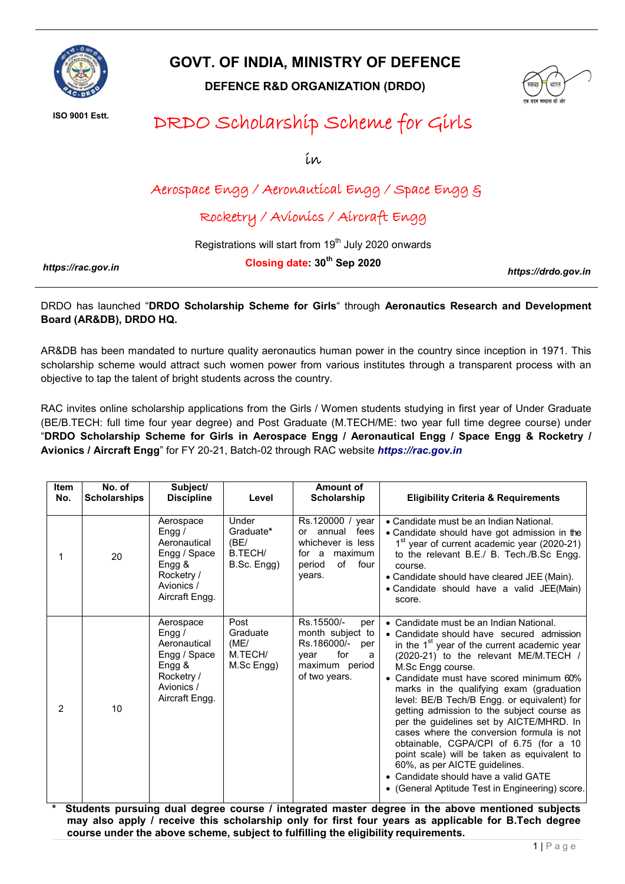

## GOVT. OF INDIA, MINISTRY OF DEFENCE

DEFENCE R&D ORGANIZATION (DRDO)



ISO 9001 Estt.

# DRDO Scholarship Scheme for Girls

in

## Aerospace Engg / Aeronautical Engg / Space Engg &

### Rocketry / Avionics / Aircraft Engg

Registrations will start from 19<sup>th</sup> July 2020 onwards

*https://rac.gov.in*

Closing date: 30<sup>th</sup> Sep 2020

*https://drdo.gov.in*

DRDO has launched "DRDO Scholarship Scheme for Girls" through Aeronautics Research and Development Board (AR&DB), DRDO HQ.

AR&DB has been mandated to nurture quality aeronautics human power in the country since inception in 1971. This scholarship scheme would attract such women power from various institutes through a transparent process with an objective to tap the talent of bright students across the country.

RAC invites online scholarship applications from the Girls / Women students studying in first year of Under Graduate (BE/B.TECH: full time four year degree) and Post Graduate (M.TECH/ME: two year full time degree course) under "DRDO Scholarship Scheme for Girls in Aerospace Engg / Aeronautical Engg / Space Engg & Rocketry / Avionics / Aircraft Engg" for FY 20-21, Batch-02 through RAC website *https://rac.gov.in*

| <b>Item</b><br>No. | No. of<br><b>Scholarships</b> | Subject/<br><b>Discipline</b>                                                                                 | Level                                                | Amount of<br>Scholarship                                                                                           | <b>Eligibility Criteria &amp; Requirements</b>                                                                                                                                                                                                                                                                                                                                                                                                                                                                                                                                                                                                                                                      |
|--------------------|-------------------------------|---------------------------------------------------------------------------------------------------------------|------------------------------------------------------|--------------------------------------------------------------------------------------------------------------------|-----------------------------------------------------------------------------------------------------------------------------------------------------------------------------------------------------------------------------------------------------------------------------------------------------------------------------------------------------------------------------------------------------------------------------------------------------------------------------------------------------------------------------------------------------------------------------------------------------------------------------------------------------------------------------------------------------|
| 1                  | 20                            | Aerospace<br>Engg $/$<br>Aeronautical<br>Engg / Space<br>Engg &<br>Rocketry /<br>Avionics /<br>Aircraft Engg. | Under<br>Graduate*<br>(BE)<br>B.TECH/<br>B.Sc. Engg) | Rs.120000 / year<br>fees<br>or annual<br>whichever is less<br>for a maximum<br>of<br>four<br>period<br>vears.      | • Candidate must be an Indian National.<br>• Candidate should have got admission in the<br>1 <sup>st</sup> year of current academic year (2020-21)<br>to the relevant B.E./ B. Tech./B.Sc Engg.<br>course.<br>• Candidate should have cleared JEE (Main).<br>• Candidate should have a valid JEE(Main)<br>score.                                                                                                                                                                                                                                                                                                                                                                                    |
| 2                  | 10                            | Aerospace<br>Engg /<br>Aeronautical<br>Engg / Space<br>Engg &<br>Rocketry /<br>Avionics /<br>Aircraft Engg.   | Post<br>Graduate<br>(ME)<br>M.TECH/<br>M.Sc Engg)    | Rs.15500/-<br>per<br>month subject to<br>Rs.186000/-<br>per<br>for<br>vear<br>a<br>maximum period<br>of two years. | • Candidate must be an Indian National.<br>• Candidate should have secured admission<br>in the $1st$ year of the current academic year<br>(2020-21) to the relevant ME/M.TECH /<br>M.Sc Engg course.<br>Candidate must have scored minimum 60%<br>marks in the qualifying exam (graduation<br>level: BE/B Tech/B Engg. or equivalent) for<br>getting admission to the subject course as<br>per the guidelines set by AICTE/MHRD. In<br>cases where the conversion formula is not<br>obtainable, CGPA/CPI of 6.75 (for a 10<br>point scale) will be taken as equivalent to<br>60%, as per AICTE guidelines.<br>• Candidate should have a valid GATE<br>(General Aptitude Test in Engineering) score. |

Students pursuing dual degree course / integrated master degree in the above mentioned subjects may also apply / receive this scholarship only for first four years as applicable for B.Tech degree course under the above scheme, subject to fulfilling the eligibility requirements.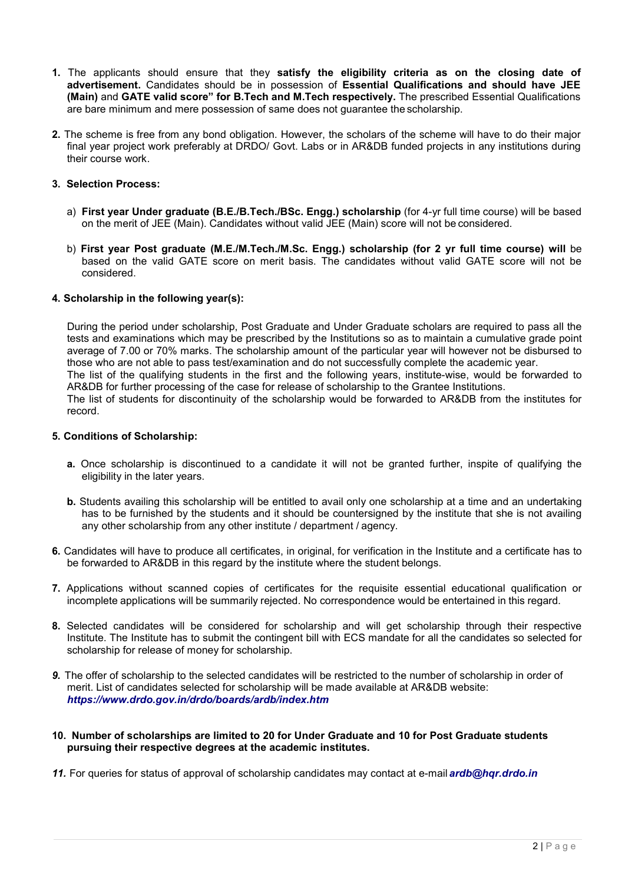- 1. The applicants should ensure that they satisfy the eligibility criteria as on the closing date of advertisement. Candidates should be in possession of Essential Qualifications and should have JEE (Main) and GATE valid score" for B.Tech and M.Tech respectively. The prescribed Essential Qualifications are bare minimum and mere possession of same does not guarantee the scholarship.
- 2. The scheme is free from any bond obligation. However, the scholars of the scheme will have to do their major final year project work preferably at DRDO/ Govt. Labs or in AR&DB funded projects in any institutions during their course work.

#### 3. Selection Process:

- a) First year Under graduate (B.E./B.Tech./BSc. Engg.) scholarship (for 4-yr full time course) will be based on the merit of JEE (Main). Candidates without valid JEE (Main) score will not be considered.
- b) First year Post graduate (M.E./M.Tech./M.Sc. Engg.) scholarship (for 2 yr full time course) will be based on the valid GATE score on merit basis. The candidates without valid GATE score will not be considered.

#### 4. Scholarship in the following year(s):

During the period under scholarship, Post Graduate and Under Graduate scholars are required to pass all the tests and examinations which may be prescribed by the Institutions so as to maintain a cumulative grade point average of 7.00 or 70% marks. The scholarship amount of the particular year will however not be disbursed to those who are not able to pass test/examination and do not successfully complete the academic year. The list of the qualifying students in the first and the following years, institute-wise, would be forwarded to AR&DB for further processing of the case for release of scholarship to the Grantee Institutions. The list of students for discontinuity of the scholarship would be forwarded to AR&DB from the institutes for record.

#### 5. Conditions of Scholarship:

- a. Once scholarship is discontinued to a candidate it will not be granted further, inspite of qualifying the eligibility in the later years.
- b. Students availing this scholarship will be entitled to avail only one scholarship at a time and an undertaking has to be furnished by the students and it should be countersigned by the institute that she is not availing any other scholarship from any other institute / department / agency.
- 6. Candidates will have to produce all certificates, in original, for verification in the Institute and a certificate has to be forwarded to AR&DB in this regard by the institute where the student belongs.
- 7. Applications without scanned copies of certificates for the requisite essential educational qualification or incomplete applications will be summarily rejected. No correspondence would be entertained in this regard.
- 8. Selected candidates will be considered for scholarship and will get scholarship through their respective Institute. The Institute has to submit the contingent bill with ECS mandate for all the candidates so selected for scholarship for release of money for scholarship.
- *9.* The offer of scholarship to the selected candidates will be restricted to the number of scholarship in order of merit. List of candidates selected for scholarship will be made available at AR&DB website: *ht[tps://www.drdo.gov.in/drdo/boards/ardb/inde](http://www.drdo.gov.in/drdo/boards/ardb/index.htm)x.ht[m](http://www.drdo.gov.in/drdo/boards/ardb/index.htm)*
- 10. Number of scholarships are limited to 20 for Under Graduate and 10 for Post Graduate students pursuing their respective degrees at the academic institutes.

*11.* For queries for status of approval of scholarship candidates may contact at e-mail *[ardb@hqr.drdo.in](mailto:ardb@hqr.drdo.in)*